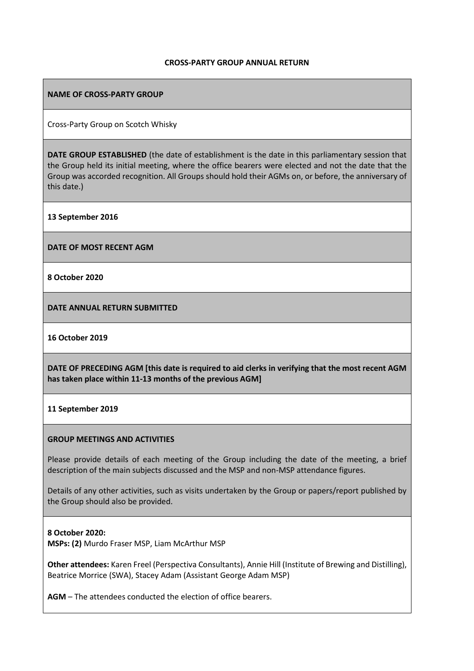#### **CROSS-PARTY GROUP ANNUAL RETURN**

### **NAME OF CROSS-PARTY GROUP**

Cross-Party Group on Scotch Whisky

**DATE GROUP ESTABLISHED** (the date of establishment is the date in this parliamentary session that the Group held its initial meeting, where the office bearers were elected and not the date that the Group was accorded recognition. All Groups should hold their AGMs on, or before, the anniversary of this date.)

**13 September 2016**

**DATE OF MOST RECENT AGM**

**8 October 2020**

**DATE ANNUAL RETURN SUBMITTED**

**16 October 2019**

**DATE OF PRECEDING AGM [this date is required to aid clerks in verifying that the most recent AGM has taken place within 11-13 months of the previous AGM]**

### **11 September 2019**

### **GROUP MEETINGS AND ACTIVITIES**

Please provide details of each meeting of the Group including the date of the meeting, a brief description of the main subjects discussed and the MSP and non-MSP attendance figures.

Details of any other activities, such as visits undertaken by the Group or papers/report published by the Group should also be provided.

### **8 October 2020:**

**MSPs: (2)** Murdo Fraser MSP, Liam McArthur MSP

**Other attendees:** Karen Freel (Perspectiva Consultants), Annie Hill (Institute of Brewing and Distilling), Beatrice Morrice (SWA), Stacey Adam (Assistant George Adam MSP)

**AGM** – The attendees conducted the election of office bearers.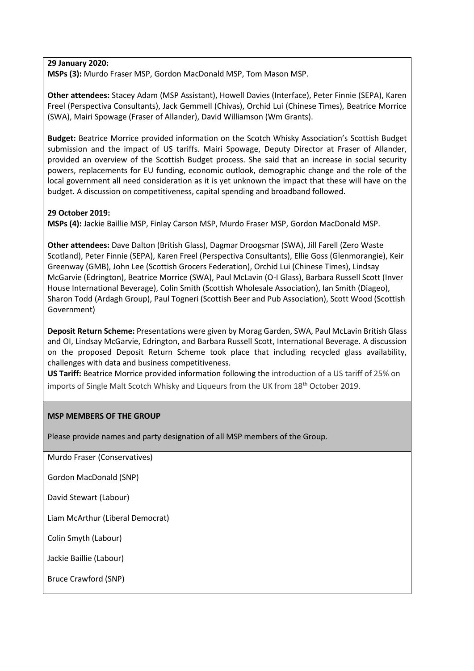### **29 January 2020:**

**MSPs (3):** Murdo Fraser MSP, Gordon MacDonald MSP, Tom Mason MSP.

**Other attendees:** Stacey Adam (MSP Assistant), Howell Davies (Interface), Peter Finnie (SEPA), Karen Freel (Perspectiva Consultants), Jack Gemmell (Chivas), Orchid Lui (Chinese Times), Beatrice Morrice (SWA), Mairi Spowage (Fraser of Allander), David Williamson (Wm Grants).

**Budget:** Beatrice Morrice provided information on the Scotch Whisky Association's Scottish Budget submission and the impact of US tariffs. Mairi Spowage, Deputy Director at Fraser of Allander, provided an overview of the Scottish Budget process. She said that an increase in social security powers, replacements for EU funding, economic outlook, demographic change and the role of the local government all need consideration as it is yet unknown the impact that these will have on the budget. A discussion on competitiveness, capital spending and broadband followed.

### **29 October 2019:**

**MSPs (4):** Jackie Baillie MSP, Finlay Carson MSP, Murdo Fraser MSP, Gordon MacDonald MSP.

**Other attendees:** Dave Dalton (British Glass), Dagmar Droogsmar (SWA), Jill Farell (Zero Waste Scotland), Peter Finnie (SEPA), Karen Freel (Perspectiva Consultants), Ellie Goss (Glenmorangie), Keir Greenway (GMB), John Lee (Scottish Grocers Federation), Orchid Lui (Chinese Times), Lindsay McGarvie (Edrington), Beatrice Morrice (SWA), Paul McLavin (O-I Glass), Barbara Russell Scott (Inver House International Beverage), Colin Smith (Scottish Wholesale Association), Ian Smith (Diageo), Sharon Todd (Ardagh Group), Paul Togneri (Scottish Beer and Pub Association), Scott Wood (Scottish Government)

**Deposit Return Scheme:** Presentations were given by Morag Garden, SWA, Paul McLavin British Glass and OI, Lindsay McGarvie, Edrington, and Barbara Russell Scott, International Beverage. A discussion on the proposed Deposit Return Scheme took place that including recycled glass availability, challenges with data and business competitiveness.

**US Tariff:** Beatrice Morrice provided information following the introduction of a US tariff of 25% on imports of Single Malt Scotch Whisky and Liqueurs from the UK from 18<sup>th</sup> October 2019.

# **MSP MEMBERS OF THE GROUP**

Please provide names and party designation of all MSP members of the Group.

Murdo Fraser (Conservatives)

Gordon MacDonald (SNP)

David Stewart (Labour)

Liam McArthur (Liberal Democrat)

Colin Smyth (Labour)

Jackie Baillie (Labour)

Bruce Crawford (SNP)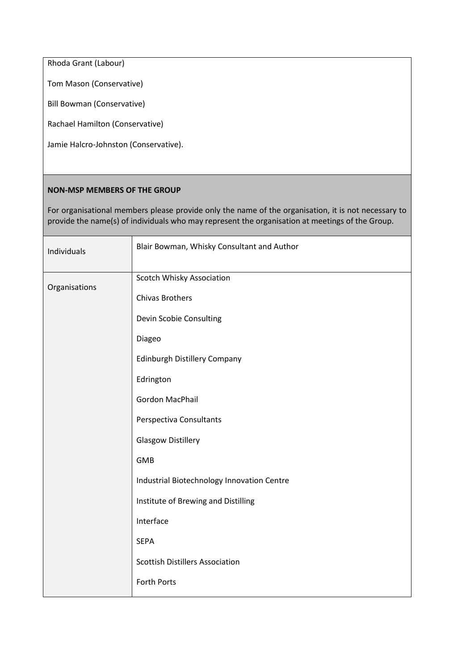Rhoda Grant (Labour)

Tom Mason (Conservative)

Bill Bowman (Conservative)

Rachael Hamilton (Conservative)

Jamie Halcro-Johnston (Conservative).

### **NON-MSP MEMBERS OF THE GROUP**

For organisational members please provide only the name of the organisation, it is not necessary to provide the name(s) of individuals who may represent the organisation at meetings of the Group.

| Individuals   | Blair Bowman, Whisky Consultant and Author |  |  |  |
|---------------|--------------------------------------------|--|--|--|
| Organisations | Scotch Whisky Association                  |  |  |  |
|               | <b>Chivas Brothers</b>                     |  |  |  |
|               | Devin Scobie Consulting                    |  |  |  |
|               | Diageo                                     |  |  |  |
|               | Edinburgh Distillery Company               |  |  |  |
|               | Edrington                                  |  |  |  |
|               | Gordon MacPhail                            |  |  |  |
|               | Perspectiva Consultants                    |  |  |  |
|               | <b>Glasgow Distillery</b>                  |  |  |  |
|               | <b>GMB</b>                                 |  |  |  |
|               | Industrial Biotechnology Innovation Centre |  |  |  |
|               | Institute of Brewing and Distilling        |  |  |  |
|               | Interface                                  |  |  |  |
|               | <b>SEPA</b>                                |  |  |  |
|               | <b>Scottish Distillers Association</b>     |  |  |  |
|               | Forth Ports                                |  |  |  |
|               |                                            |  |  |  |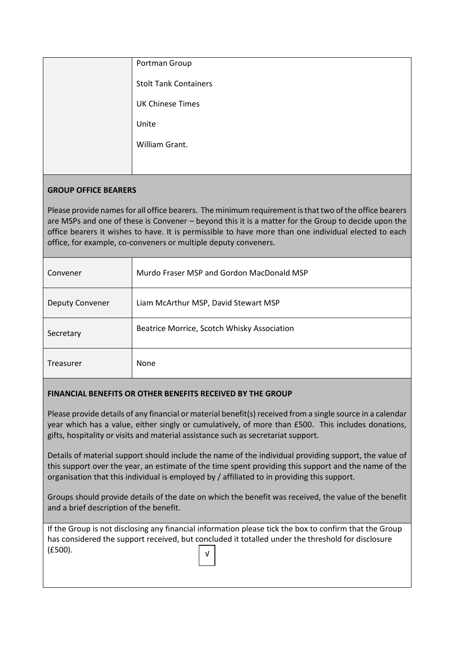| Portman Group                |
|------------------------------|
| <b>Stolt Tank Containers</b> |
| <b>UK Chinese Times</b>      |
| Unite                        |
| William Grant.               |
|                              |

# **GROUP OFFICE BEARERS**

Please provide names for all office bearers. The minimum requirement is that two of the office bearers are MSPs and one of these is Convener – beyond this it is a matter for the Group to decide upon the office bearers it wishes to have. It is permissible to have more than one individual elected to each office, for example, co-conveners or multiple deputy conveners.

| Convener               | Murdo Fraser MSP and Gordon MacDonald MSP   |
|------------------------|---------------------------------------------|
| <b>Deputy Convener</b> | Liam McArthur MSP, David Stewart MSP        |
| Secretary              | Beatrice Morrice, Scotch Whisky Association |
| Treasurer              | None                                        |

# **FINANCIAL BENEFITS OR OTHER BENEFITS RECEIVED BY THE GROUP**

Please provide details of any financial or material benefit(s) received from a single source in a calendar year which has a value, either singly or cumulatively, of more than £500. This includes donations, gifts, hospitality or visits and material assistance such as secretariat support.

Details of material support should include the name of the individual providing support, the value of this support over the year, an estimate of the time spent providing this support and the name of the organisation that this individual is employed by / affiliated to in providing this support.

Groups should provide details of the date on which the benefit was received, the value of the benefit and a brief description of the benefit.

|                                                                                                   | If the Group is not disclosing any financial information please tick the box to confirm that the Group |  |  |  |
|---------------------------------------------------------------------------------------------------|--------------------------------------------------------------------------------------------------------|--|--|--|
| has considered the support received, but concluded it totalled under the threshold for disclosure |                                                                                                        |  |  |  |
| (E500).                                                                                           | $\sqrt{ }$                                                                                             |  |  |  |